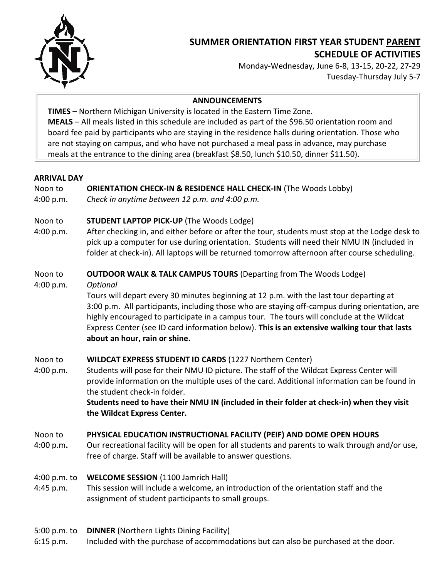

# **SUMMER ORIENTATION FIRST YEAR STUDENT PARENT SCHEDULE OF ACTIVITIES**

Monday-Wednesday, June 6-8, 13-15, 20-22, 27-29 Tuesday-Thursday July 5-7

#### **ANNOUNCEMENTS**

**TIMES** – Northern Michigan University is located in the Eastern Time Zone. **MEALS** – All meals listed in this schedule are included as part of the \$96.50 orientation room and board fee paid by participants who are staying in the residence halls during orientation. Those who are not staying on campus, and who have not purchased a meal pass in advance, may purchase meals at the entrance to the dining area (breakfast \$8.50, lunch \$10.50, dinner \$11.50).

#### **ARRIVAL DAY**

# Noon to **ORIENTATION CHECK-IN & RESIDENCE HALL CHECK-IN** (The Woods Lobby)

4:00 p.m. *Check in anytime between 12 p.m. and 4:00 p.m.* 

# Noon to **STUDENT LAPTOP PICK-UP** (The Woods Lodge)

4:00 p.m. After checking in, and either before or after the tour, students must stop at the Lodge desk to pick up a computer for use during orientation. Students will need their NMU IN (included in folder at check-in). All laptops will be returned tomorrow afternoon after course scheduling.

#### Noon to **OUTDOOR WALK & TALK CAMPUS TOURS** (Departing from The Woods Lodge)

4:00 p.m. *Optional*

Tours will depart every 30 minutes beginning at 12 p.m. with the last tour departing at 3:00 p.m. All participants, including those who are staying off-campus during orientation, are highly encouraged to participate in a campus tour. The tours will conclude at the Wildcat Express Center (see ID card information below). **This is an extensive walking tour that lasts about an hour, rain or shine.**

## Noon to **WILDCAT EXPRESS STUDENT ID CARDS** (1227 Northern Center)

4:00 p.m. Students will pose for their NMU ID picture. The staff of the Wildcat Express Center will provide information on the multiple uses of the card. Additional information can be found in the student check-in folder.

**Students need to have their NMU IN (included in their folder at check-in) when they visit the Wildcat Express Center.**

## Noon to **PHYSICAL EDUCATION INSTRUCTIONAL FACILITY (PEIF) AND DOME OPEN HOURS**

4:00 p.m**.** Our recreational facility will be open for all students and parents to walk through and/or use, free of charge. Staff will be available to answer questions.

## 4:00 p.m. to **WELCOME SESSION** (1100 Jamrich Hall)

- 4:45 p.m. This session will include a welcome, an introduction of the orientation staff and the assignment of student participants to small groups.
- 5:00 p.m. to **DINNER** (Northern Lights Dining Facility)
- 6:15 p.m. Included with the purchase of accommodations but can also be purchased at the door.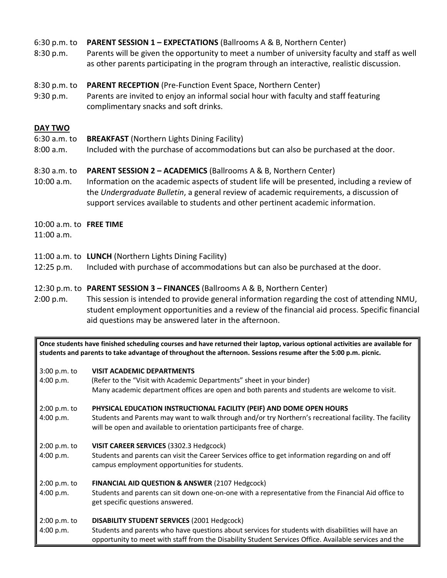#### 6:30 p.m. to **PARENT SESSION 1 – EXPECTATIONS** (Ballrooms A & B, Northern Center)

8:30 p.m. Parents will be given the opportunity to meet a number of university faculty and staff as well as other parents participating in the program through an interactive, realistic discussion.

#### 8:30 p.m. to **PARENT RECEPTION** (Pre-Function Event Space, Northern Center)

9:30 p.m. Parents are invited to enjoy an informal social hour with faculty and staff featuring complimentary snacks and soft drinks.

#### **DAY TWO**

- 6:30 a.m. to **BREAKFAST** (Northern Lights Dining Facility)
- 8:00 a.m. Included with the purchase of accommodations but can also be purchased at the door.

#### 8:30 a.m. to **PARENT SESSION 2 – ACADEMICS** (Ballrooms A & B, Northern Center)

10:00 a.m. Information on the academic aspects of student life will be presented, including a review of the *Undergraduate Bulletin*, a general review of academic requirements, a discussion of support services available to students and other pertinent academic information.

#### 10:00 a.m. to **FREE TIME**

11:00 a.m.

- 11:00 a.m. to **LUNCH** (Northern Lights Dining Facility)
- 12:25 p.m. Included with purchase of accommodations but can also be purchased at the door.

#### 12:30 p.m. to **PARENT SESSION 3 – FINANCES** (Ballrooms A & B, Northern Center)

2:00 p.m. This session is intended to provide general information regarding the cost of attending NMU, student employment opportunities and a review of the financial aid process. Specific financial aid questions may be answered later in the afternoon.

**Once students have finished scheduling courses and have returned their laptop, various optional activities are available for students and parents to take advantage of throughout the afternoon. Sessions resume after the 5:00 p.m. picnic.**

#### 3:00 p.m. to **VISIT ACADEMIC DEPARTMENTS**

- 4:00 p.m. (Refer to the "Visit with Academic Departments" sheet in your binder) Many academic department offices are open and both parents and students are welcome to visit. 2:00 p.m. to **PHYSICAL EDUCATION INSTRUCTIONAL FACILITY (PEIF) AND DOME OPEN HOURS**
- 4:00 p.m. Students and Parents may want to walk through and/or try Northern's recreational facility. The facility will be open and available to orientation participants free of charge.
- 2:00 p.m. to **VISIT CAREER SERVICES** (3302.3 Hedgcock)
- 4:00 p.m. Students and parents can visit the Career Services office to get information regarding on and off campus employment opportunities for students.
- 2:00 p.m. to **FINANCIAL AID QUESTION & ANSWER** (2107 Hedgcock)

4:00 p.m. Students and parents can sit down one-on-one with a representative from the Financial Aid office to get specific questions answered.

#### 2:00 p.m. to **DISABILITY STUDENT SERVICES** (2001 Hedgcock)

4:00 p.m. Students and parents who have questions about services for students with disabilities will have an opportunity to meet with staff from the Disability Student Services Office. Available services and the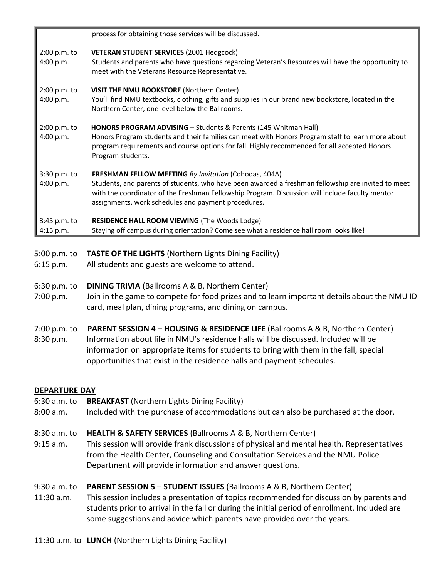|                           | process for obtaining those services will be discussed.                                                                                                                                                                                                                                                                      |
|---------------------------|------------------------------------------------------------------------------------------------------------------------------------------------------------------------------------------------------------------------------------------------------------------------------------------------------------------------------|
| 2:00 p.m. to<br>4:00 p.m. | <b>VETERAN STUDENT SERVICES (2001 Hedgcock)</b><br>Students and parents who have questions regarding Veteran's Resources will have the opportunity to<br>meet with the Veterans Resource Representative.                                                                                                                     |
| 2:00 p.m. to<br>4:00 p.m. | <b>VISIT THE NMU BOOKSTORE (Northern Center)</b><br>You'll find NMU textbooks, clothing, gifts and supplies in our brand new bookstore, located in the<br>Northern Center, one level below the Ballrooms.                                                                                                                    |
| 2:00 p.m. to<br>4:00 p.m. | <b>HONORS PROGRAM ADVISING – Students &amp; Parents (145 Whitman Hall)</b><br>Honors Program students and their families can meet with Honors Program staff to learn more about<br>program requirements and course options for fall. Highly recommended for all accepted Honors<br>Program students.                         |
| 3:30 p.m. to<br>4:00 p.m. | <b>FRESHMAN FELLOW MEETING By Invitation (Cohodas, 404A)</b><br>Students, and parents of students, who have been awarded a freshman fellowship are invited to meet<br>with the coordinator of the Freshman Fellowship Program. Discussion will include faculty mentor<br>assignments, work schedules and payment procedures. |
| 3:45 p.m. to<br>4:15 p.m. | <b>RESIDENCE HALL ROOM VIEWING (The Woods Lodge)</b><br>Staying off campus during orientation? Come see what a residence hall room looks like!                                                                                                                                                                               |

- 5:00 p.m. to **TASTE OF THE LIGHTS** (Northern Lights Dining Facility)
- 6:15 p.m. All students and guests are welcome to attend.
- 6:30 p.m. to **DINING TRIVIA** (Ballrooms A & B, Northern Center)
- 7:00 p.m. Join in the game to compete for food prizes and to learn important details about the NMU ID card, meal plan, dining programs, and dining on campus.
- 7:00 p.m. to **PARENT SESSION 4 – HOUSING & RESIDENCE LIFE** (Ballrooms A & B, Northern Center)
- 8:30 p.m. Information about life in NMU's residence halls will be discussed. Included will be information on appropriate items for students to bring with them in the fall, special opportunities that exist in the residence halls and payment schedules.

## **DEPARTURE DAY**

- 6:30 a.m. to **BREAKFAST** (Northern Lights Dining Facility)
- 8:00 a.m. Included with the purchase of accommodations but can also be purchased at the door.
- 8:30 a.m. to **HEALTH & SAFETY SERVICES** (Ballrooms A & B, Northern Center)
- 9:15 a.m. This session will provide frank discussions of physical and mental health. Representatives from the Health Center, Counseling and Consultation Services and the NMU Police Department will provide information and answer questions.
- 9:30 a.m. to **PARENT SESSION 5 STUDENT ISSUES** (Ballrooms A & B, Northern Center)
- 11:30 a.m. This session includes a presentation of topics recommended for discussion by parents and students prior to arrival in the fall or during the initial period of enrollment. Included are some suggestions and advice which parents have provided over the years.
- 11:30 a.m. to **LUNCH** (Northern Lights Dining Facility)